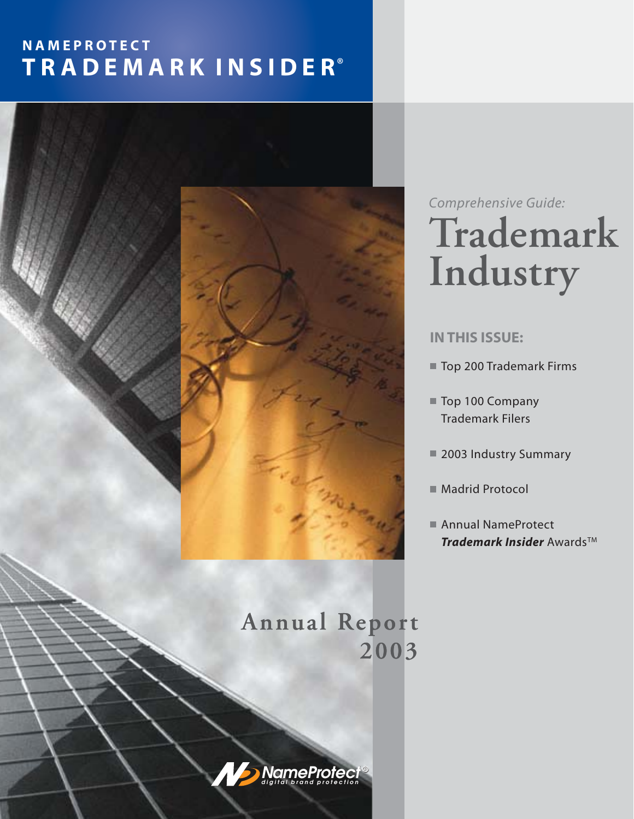# **NAMEPROTECT ® T R A D E M A R K I N S I D E R**



**Trademark Industry** *Comprehensive Guide:*

### **IN THIS ISSUE:**

- [Top 200 Trademark Firms](#page-5-0)
- [Top 100 Company](#page-7-0) Trademark Filers
- [2003 Industry Summary](#page-10-0)
- [Madrid Protocol](#page-11-0)
- *Trademark Insider* Awards™ ■ Annual NameProtect

# **Annual Report 2003**

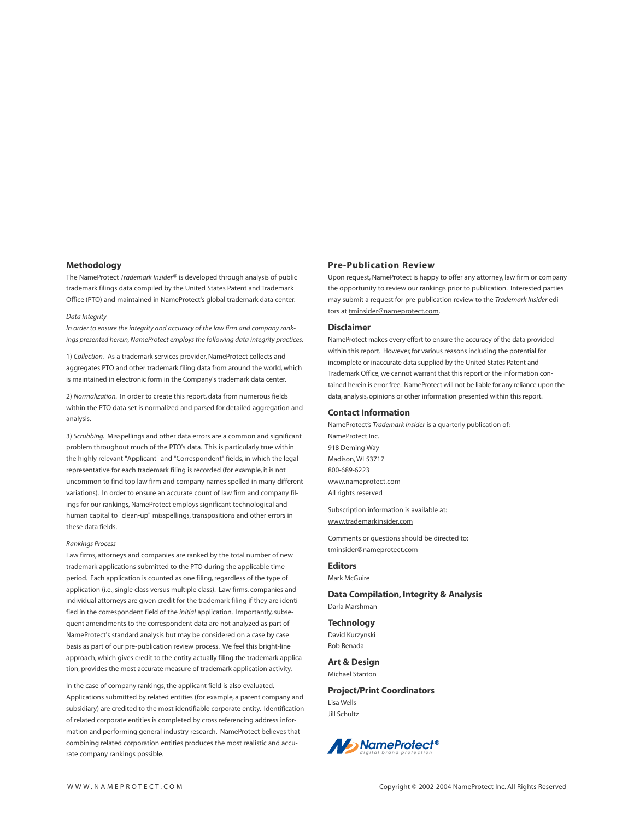#### **Methodology**

The NameProtect *Trademark Insider®* is developed through analysis of public trademark filings data compiled by the United States Patent and Trademark Office (PTO) and maintained in NameProtect's global trademark data center.

#### *Data Integrity*

*In order to ensure the integrity and accuracy of the law firm and company rankings presented herein, NameProtect employs the following data integrity practices:*

1) *Collection.* As a trademark services provider, NameProtect collects and aggregates PTO and other trademark filing data from around the world, which is maintained in electronic form in the Company's trademark data center.

2) *Normalization.* In order to create this report, data from numerous fields within the PTO data set is normalized and parsed for detailed aggregation and analysis.

3) *Scrubbing.* Misspellings and other data errors are a common and significant problem throughout much of the PTO's data. This is particularly true within the highly relevant "Applicant" and "Correspondent" fields, in which the legal representative for each trademark filing is recorded (for example, it is not uncommon to find top law firm and company names spelled in many different variations). In order to ensure an accurate count of law firm and company filings for our rankings, NameProtect employs significant technological and human capital to "clean-up" misspellings, transpositions and other errors in these data fields.

#### *Rankings Process*

Law firms, attorneys and companies are ranked by the total number of new trademark applications submitted to the PTO during the applicable time period. Each application is counted as one filing, regardless of the type of application (i.e., single class versus multiple class). Law firms, companies and individual attorneys are given credit for the trademark filing if they are identified in the correspondent field of the *initial* application. Importantly, subsequent amendments to the correspondent data are not analyzed as part of NameProtect's standard analysis but may be considered on a case by case basis as part of our pre-publication review process. We feel this bright-line approach, which gives credit to the entity actually filing the trademark application, provides the most accurate measure of trademark application activity.

In the case of company rankings, the applicant field is also evaluated. Applications submitted by related entities (for example, a parent company and subsidiary) are credited to the most identifiable corporate entity. Identification of related corporate entities is completed by cross referencing address information and performing general industry research. NameProtect believes that combining related corporation entities produces the most realistic and accurate company rankings possible.

#### **Pre-Publication Review**

Upon request, NameProtect is happy to offer any attorney, law firm or company the opportunity to review our rankings prior to publication. Interested parties may submit a request for pre-publication review to the *Trademark Insider* editors at tminsider@nameprotect.com.

#### **Disclaimer**

NameProtect makes every effort to ensure the accuracy of the data provided within this report. However, for various reasons including the potential for incomplete or inaccurate data supplied by the United States Patent and Trademark Office, we cannot warrant that this report or the information contained herein is error free. NameProtect will not be liable for any reliance upon the data, analysis, opinions or other information presented within this report.

#### **Contact Information**

NameProtect's *Trademark Insider* is a quarterly publication of: NameProtect Inc. 918 Deming Way Madison, WI 53717 800-689-6223 www.nameprotect.com All rights reserved

Subscription information is available at: www.trademarkinsider.com

Comments or questions should be directed to: tminsider@nameprotect.com

#### **Editors** Mark McGuire

**Data Compilation, Integrity & Analysis**

Darla Marshman

#### **Technology**

David Kurzynski Rob Benada

#### **Art & Design**

Michael Stanton

#### **Project/Print Coordinators** Lisa Wells

Jill Schultz

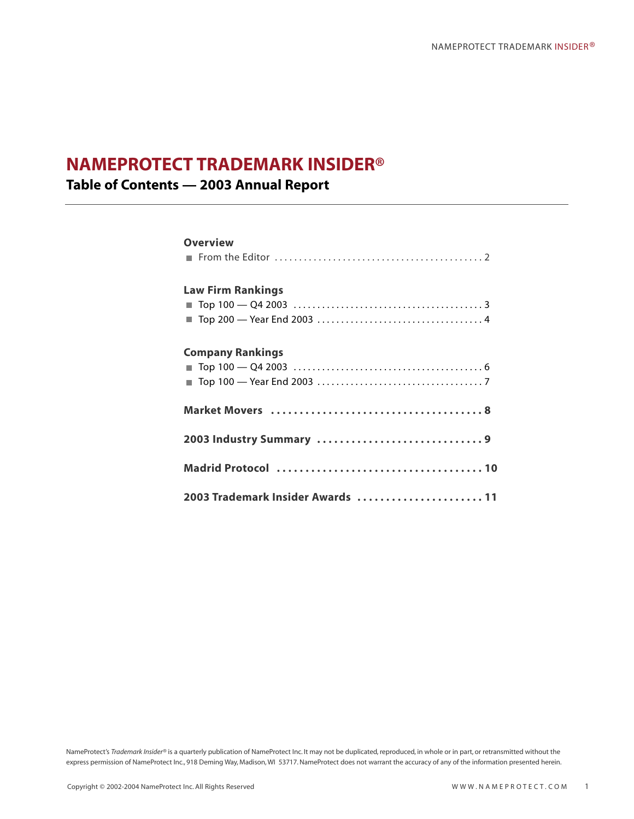### **NAMEPROTECT TRADEMARK INSIDER®**

**Table of Contents — 2003 Annual Report** 

# **Overview** [From the Editor . . . . . . . . . . . . . . . . . . . . . . . . . . . . . . . . . . . . . . . . . . . 2](#page-3-0) **Law Firm Rankings** [Top 100 — Q4 2003 . . . . . . . . . . . . . . . . . . . . . . . . . . . . . . . . . . . . . . . . 3](#page-4-0) [Top 200 — Year End 2003 . . . . . . . . . . . . . . . . . . . . . . . . . . . . . . . . . . . 4](#page-5-0) **Company Rankings** [Top 100 — Q4 2003 . . . . . . . . . . . . . . . . . . . . . . . . . . . . . . . . . . . . . . . . 6](#page-7-0) [Top 100 — Year End 2003 . . . . . . . . . . . . . . . . . . . . . . . . . . . . . . . . . . . 7](#page-8-0) **[Market Movers . . . . . . . . . . . . . . . . . . . . . . . . . . . . . . . . . . . . . 8](#page-9-0) [2003 Industry Summary . . . . . . . . . . . . . . . . . . . . . . . . . . . . . 9](#page-10-0) [Madrid Protocol . . . . . . . . . . . . . . . . . . . . . . . . . . . . . . . . . . . . 10](#page-11-0) [2003 Trademark Insider Awards . . . . . . . . . . . . . . . . . . . . . . 11](#page-12-0)**

NameProtect's Trademark Insider® is a quarterly publication of NameProtect Inc. It may not be duplicated, reproduced, in whole or in part, or retransmitted without the express permission of NameProtect Inc., 918 Deming Way, Madison, WI 53717. NameProtect does not warrant the accuracy of any of the information presented herein.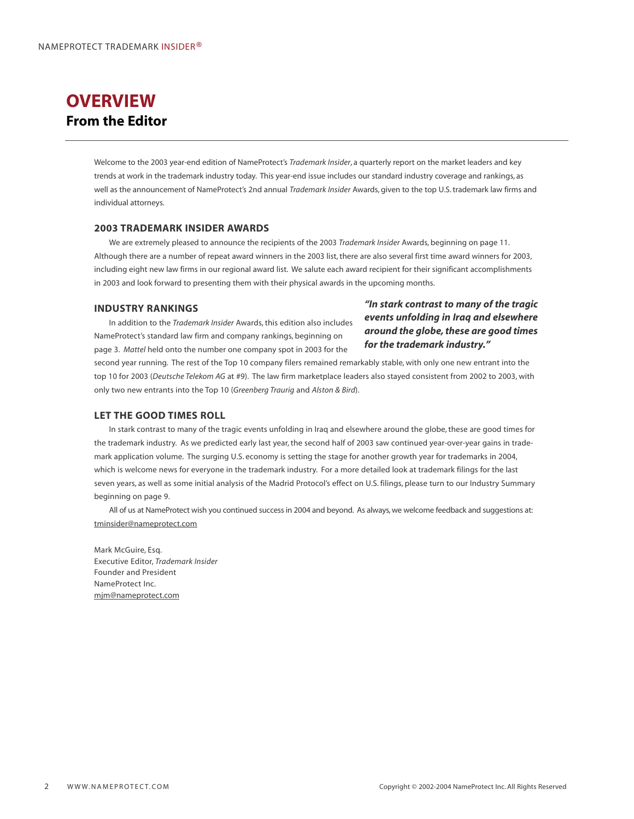### <span id="page-3-0"></span>**OVERVIEW From the Editor**

Welcome to the 2003 year-end edition of NameProtect's *Trademark Insider*, a quarterly report on the market leaders and key trends at work in the trademark industry today. This year-end issue includes our standard industry coverage and rankings, as well as the announcement of NameProtect's 2nd annual *Trademark Insider* Awards, given to the top U.S. trademark law firms and individual attorneys.

### **2003 TRADEMARK INSIDER AWARDS**

We are extremely pleased to announce the recipients of the 2003 *Trademark Insider* Awards, beginning on page 11. Although there are a number of repeat award winners in the 2003 list, there are also several first time award winners for 2003, including eight new law firms in our regional award list. We salute each award recipient for their significant accomplishments in 2003 and look forward to presenting them with their physical awards in the upcoming months.

#### **INDUSTRY RANKINGS**

In addition to the *Trademark Insider* Awards, this edition also includes NameProtect's standard law firm and company rankings, beginning on page 3. *Mattel* held onto the number one company spot in 2003 for the

*"In stark contrast to many of the tragic events unfolding in Iraq and elsewhere around the globe, these are good times for the trademark industry."*

second year running. The rest of the Top 10 company filers remained remarkably stable, with only one new entrant into the top 10 for 2003 (*Deutsche Telekom AG* at #9). The law firm marketplace leaders also stayed consistent from 2002 to 2003, with only two new entrants into the Top 10 (*Greenberg Traurig* and *Alston & Bird*).

### **LET THE GOOD TIMES ROLL**

In stark contrast to many of the tragic events unfolding in Iraq and elsewhere around the globe, these are good times for the trademark industry. As we predicted early last year, the second half of 2003 saw continued year-over-year gains in trademark application volume. The surging U.S. economy is setting the stage for another growth year for trademarks in 2004, which is welcome news for everyone in the trademark industry. For a more detailed look at trademark filings for the last seven years, as well as some initial analysis of the Madrid Protocol's effect on U.S. filings, please turn to our Industry Summary beginning on page 9.

All of us at NameProtect wish you continued success in 2004 and beyond. As always, we welcome feedback and suggestions at: tminsider@nameprotect.com

Mark McGuire, Esq. Executive Editor, *Trademark Insider* Founder and President NameProtect Inc. mjm@nameprotect.com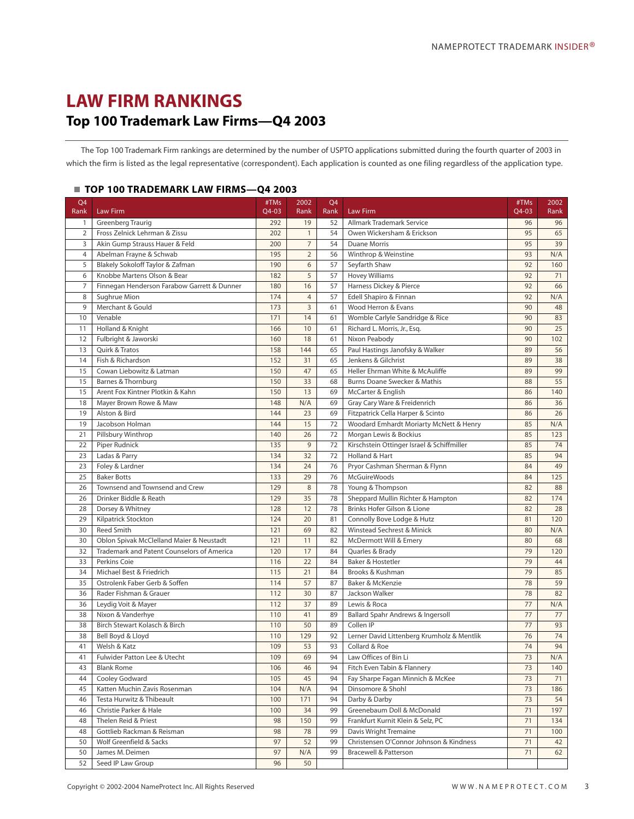### <span id="page-4-0"></span>**LAW FIRM RANKINGS Top 100 Trademark Law Firms—Q4 2003**

The Top 100 Trademark Firm rankings are determined by the number of USPTO applications submitted during the fourth quarter of 2003 in which the firm is listed as the legal representative (correspondent). Each application is counted as one filing regardless of the application type.

### **TOP 100 TRADEMARK LAW FIRMS—Q4 2003**

| Q4<br>Rank     | Law Firm                                    | #TMs<br>Q4-03 | 2002<br>Rank   | Q4<br>Rank | Law Firm                                   | #TMs<br>Q4-03 | 2002<br>Rank |
|----------------|---------------------------------------------|---------------|----------------|------------|--------------------------------------------|---------------|--------------|
| $\mathbf{1}$   | Greenberg Traurig                           | 292           | 19             | 52         | Allmark Trademark Service                  | 96            | 96           |
| $\overline{2}$ | Fross Zelnick Lehrman & Zissu               | 202           | $\mathbf{1}$   | 54         | Owen Wickersham & Erickson                 | 95            | 65           |
| 3              | Akin Gump Strauss Hauer & Feld              | 200           | $\overline{7}$ | 54         | <b>Duane Morris</b>                        | 95            | 39           |
| $\overline{4}$ | Abelman Frayne & Schwab                     | 195           | $\overline{2}$ | 56         | Winthrop & Weinstine                       | 93            | N/A          |
| 5              | Blakely Sokoloff Taylor & Zafman            | 190           | 6              | 57         | Seyfarth Shaw                              | 92            | 160          |
| 6              | Knobbe Martens Olson & Bear                 | 182           | 5              | 57         | <b>Hovey Williams</b>                      | 92            | 71           |
| 7              | Finnegan Henderson Farabow Garrett & Dunner | 180           | 16             | 57         | Harness Dickey & Pierce                    | 92            | 66           |
| $\,8\,$        | Sughrue Mion                                | 174           | $\overline{4}$ | 57         | Edell Shapiro & Finnan                     | 92            | N/A          |
| 9              | Merchant & Gould                            | 173           | 3              | 61         | Wood Herron & Evans                        | 90            | 48           |
| 10             | Venable                                     | 171           | 14             | 61         | Womble Carlyle Sandridge & Rice            | 90            | 83           |
| 11             | Holland & Knight                            | 166           | 10             | 61         | Richard L. Morris, Jr., Esq.               | 90            | 25           |
| 12             | Fulbright & Jaworski                        | 160           | 18             | 61         | Nixon Peabody                              | 90            | 102          |
| 13             | Quirk & Tratos                              | 158           | 144            | 65         | Paul Hastings Janofsky & Walker            | 89            | 56           |
| 14             | Fish & Richardson                           | 152           | 31             | 65         | Jenkens & Gilchrist                        | 89            | 38           |
| 15             | Cowan Liebowitz & Latman                    | 150           | 47             | 65         | Heller Ehrman White & McAuliffe            | 89            | 99           |
| 15             | Barnes & Thornburg                          | 150           | 33             | 68         | Burns Doane Swecker & Mathis               | 88            | 55           |
| 15             | Arent Fox Kintner Plotkin & Kahn            | 150           | 13             | 69         | McCarter & English                         | 86            | 140          |
| 18             | Mayer Brown Rowe & Maw                      | 148           | N/A            | 69         | Gray Cary Ware & Freidenrich               | 86            | 36           |
| 19             | Alston & Bird                               | 144           | 23             | 69         | Fitzpatrick Cella Harper & Scinto          | 86            | 26           |
| 19             | Jacobson Holman                             | 144           | 15             | 72         | Woodard Emhardt Moriarty McNett & Henry    | 85            | N/A          |
| 21             | Pillsbury Winthrop                          | 140           | 26             | 72         | Morgan Lewis & Bockius                     | 85            | 123          |
| 22             | Piper Rudnick                               | 135           | 9              | 72         | Kirschstein Ottinger Israel & Schiffmiller | 85            | 74           |
| 23             | Ladas & Parry                               | 134           | 32             | 72         | Holland & Hart                             | 85            | 94           |
| 23             | Foley & Lardner                             | 134           | 24             | 76         | Pryor Cashman Sherman & Flynn              | 84            | 49           |
| 25             | <b>Baker Botts</b>                          | 133           | 29             | 76         | <b>McGuireWoods</b>                        | 84            | 125          |
| 26             | Townsend and Townsend and Crew              | 129           | 8              | 78         | Young & Thompson                           | 82            | 88           |
| 26             | Drinker Biddle & Reath                      | 129           | 35             | 78         | Sheppard Mullin Richter & Hampton          | 82            | 174          |
| 28             | Dorsey & Whitney                            | 128           | 12             | 78         | Brinks Hofer Gilson & Lione                | 82            | 28           |
| 29             | Kilpatrick Stockton                         | 124           | 20             | 81         | Connolly Bove Lodge & Hutz                 | 81            | 120          |
| 30             | <b>Reed Smith</b>                           | 121           | 69             | 82         | Winstead Sechrest & Minick                 | 80            | N/A          |
| 30             | Oblon Spivak McClelland Maier & Neustadt    | 121           | 11             | 82         | McDermott Will & Emery                     | 80            | 68           |
| 32             | Trademark and Patent Counselors of America  | 120           | 17             | 84         | Quarles & Brady                            | 79            | 120          |
| 33             | Perkins Coie                                | 116           | 22             | 84         | Baker & Hostetler                          | 79            | 44           |
| 34             | Michael Best & Friedrich                    | 115           | 21             | 84         | Brooks & Kushman                           | 79            | 85           |
| 35             | Ostrolenk Faber Gerb & Soffen               | 114           | 57             | 87         | Baker & McKenzie                           | 78            | 59           |
| 36             | Rader Fishman & Grauer                      | 112           | 30             | 87         | Jackson Walker                             | 78            | 82           |
| 36             | Leydig Voit & Mayer                         | 112           | 37             | 89         | Lewis & Roca                               | 77            | N/A          |
| 38             | Nixon & Vanderhye                           | 110           | 41             | 89         | Ballard Spahr Andrews & Ingersoll          | 77            | 77           |
| 38             | Birch Stewart Kolasch & Birch               | 110           | 50             | 89         | Collen IP                                  | 77            | 93           |
| 38             | Bell Boyd & Lloyd                           | 110           | 129            | 92         | Lerner David Littenberg Krumholz & Mentlik | 76            | 74           |
| 41             | Welsh & Katz                                | 109           | 53             | 93         | Collard & Roe                              | 74            | 94           |
| 41             | <b>Fulwider Patton Lee &amp; Utecht</b>     | 109           | 69             | 94         | Law Offices of Bin Li                      | 73            | N/A          |
| 43             | <b>Blank Rome</b>                           | 106           | 46             | 94         | Fitch Even Tabin & Flannery                | 73            | 140          |
| 44             | Cooley Godward                              | 105           | 45             | 94         | Fay Sharpe Fagan Minnich & McKee           | 73            | 71           |
| 45             | Katten Muchin Zavis Rosenman                | 104           | N/A            | 94         | Dinsomore & Shohl                          | 73            | 186          |
| 46             | Testa Hurwitz & Thibeault                   | 100           | 171            | 94         | Darby & Darby                              | 73            | 54           |
| 46             | Christie Parker & Hale                      | 100           | 34             | 99         | Greenebaum Doll & McDonald                 | 71            | 197          |
| 48             | Thelen Reid & Priest                        | 98            | 150            | 99         | Frankfurt Kurnit Klein & Selz, PC          | 71            | 134          |
| 48             | Gottlieb Rackman & Reisman                  | 98            | 78             | 99         | Davis Wright Tremaine                      | 71            | 100          |
| 50             | Wolf Greenfield & Sacks                     | 97            | 52             | 99         | Christensen O'Connor Johnson & Kindness    | 71            | 42           |
| 50             | James M. Deimen                             | 97            | N/A            | 99         | <b>Bracewell &amp; Patterson</b>           | 71            | 62           |
| 52             | Seed IP Law Group                           | 96            | 50             |            |                                            |               |              |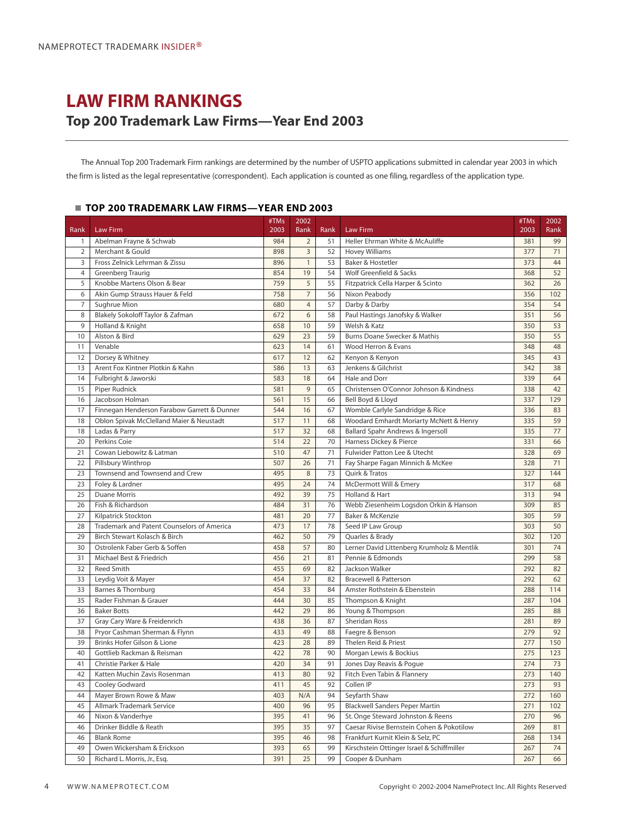### <span id="page-5-0"></span>**LAW FIRM RANKINGS Top 200 Trademark Law Firms—Year End 2003**

The Annual Top 200 Trademark Firm rankings are determined by the number of USPTO applications submitted in calendar year 2003 in which the firm is listed as the legal representative (correspondent). Each application is counted as one filing, regardless of the application type.

### **TOP 200 TRADEMARK LAW FIRMS—YEAR END 2003**

|                |                                             | #TMs | 2002           |      |                                            | #TMs | 2002 |
|----------------|---------------------------------------------|------|----------------|------|--------------------------------------------|------|------|
| <b>Rank</b>    | Law Firm                                    | 2003 | Rank           | Rank | Law Firm                                   | 2003 | Rank |
| $\mathbf{1}$   | Abelman Frayne & Schwab                     | 984  | $\overline{2}$ | 51   | Heller Ehrman White & McAuliffe            | 381  | 99   |
| $\overline{2}$ | Merchant & Gould                            | 898  | 3              | 52   | <b>Hovey Williams</b>                      | 377  | 71   |
| 3              | Fross Zelnick Lehrman & Zissu               | 896  | $\mathbf{1}$   | 53   | Baker & Hostetler                          | 373  | 44   |
| $\overline{4}$ | Greenberg Traurig                           | 854  | 19             | 54   | Wolf Greenfield & Sacks                    | 368  | 52   |
| 5              | Knobbe Martens Olson & Bear                 | 759  | 5              | 55   | Fitzpatrick Cella Harper & Scinto          | 362  | 26   |
| 6              | Akin Gump Strauss Hauer & Feld              | 758  | $\overline{7}$ | 56   | Nixon Peabody                              | 356  | 102  |
| 7              | Sughrue Mion                                | 680  | $\overline{4}$ | 57   | Darby & Darby                              | 354  | 54   |
| 8              | Blakely Sokoloff Taylor & Zafman            | 672  | 6              | 58   | Paul Hastings Janofsky & Walker            | 351  | 56   |
| 9              | Holland & Knight                            | 658  | 10             | 59   | Welsh & Katz                               | 350  | 53   |
| 10             | Alston & Bird                               | 629  | 23             | 59   | Burns Doane Swecker & Mathis               | 350  | 55   |
| 11             | Venable                                     | 623  | 14             | 61   | Wood Herron & Evans                        | 348  | 48   |
| 12             | Dorsey & Whitney                            | 617  | 12             | 62   | Kenyon & Kenyon                            | 345  | 43   |
| 13             | Arent Fox Kintner Plotkin & Kahn            | 586  | 13             | 63   | Jenkens & Gilchrist                        | 342  | 38   |
| 14             | Fulbright & Jaworski                        | 583  | 18             | 64   | Hale and Dorr                              | 339  | 64   |
| 15             | Piper Rudnick                               | 581  | $\overline{9}$ | 65   | Christensen O'Connor Johnson & Kindness    | 338  | 42   |
| 16             | Jacobson Holman                             | 561  | 15             | 66   | Bell Boyd & Lloyd                          | 337  | 129  |
| 17             | Finnegan Henderson Farabow Garrett & Dunner | 544  | 16             | 67   | Womble Carlyle Sandridge & Rice            | 336  | 83   |
| 18             | Oblon Spivak McClelland Maier & Neustadt    | 517  | 11             | 68   | Woodard Emhardt Moriarty McNett & Henry    | 335  | 59   |
| 18             | Ladas & Parry                               | 517  | 32             | 68   | Ballard Spahr Andrews & Ingersoll          | 335  | 77   |
| 20             | Perkins Coie                                | 514  | 22             | 70   | Harness Dickey & Pierce                    | 331  | 66   |
| 21             | Cowan Liebowitz & Latman                    | 510  | 47             | 71   | <b>Fulwider Patton Lee &amp; Utecht</b>    | 328  | 69   |
| 22             | Pillsbury Winthrop                          | 507  | 26             | 71   | Fay Sharpe Fagan Minnich & McKee           | 328  | 71   |
| 23             | Townsend and Townsend and Crew              | 495  | $\,8\,$        | 73   | Quirk & Tratos                             | 327  | 144  |
| 23             | Foley & Lardner                             | 495  | 24             | 74   | McDermott Will & Emery                     | 317  | 68   |
| 25             | <b>Duane Morris</b>                         | 492  | 39             | 75   | Holland & Hart                             | 313  | 94   |
| 26             | Fish & Richardson                           | 484  | 31             | 76   | Webb Ziesenheim Logsdon Orkin & Hanson     | 309  | 85   |
| 27             | Kilpatrick Stockton                         | 481  | 20             | 77   | Baker & McKenzie                           | 305  | 59   |
| 28             | Trademark and Patent Counselors of America  | 473  | 17             | 78   | Seed IP Law Group                          | 303  | 50   |
| 29             | Birch Stewart Kolasch & Birch               | 462  | 50             | 79   | Quarles & Brady                            | 302  | 120  |
| 30             | Ostrolenk Faber Gerb & Soffen               | 458  | 57             | 80   | Lerner David Littenberg Krumholz & Mentlik | 301  | 74   |
| 31             | Michael Best & Friedrich                    | 456  | 21             | 81   | Pennie & Edmonds                           | 299  | 58   |
| 32             | <b>Reed Smith</b>                           | 455  | 69             | 82   | Jackson Walker                             | 292  | 82   |
| 33             | Leydig Voit & Mayer                         | 454  | 37             | 82   | <b>Bracewell &amp; Patterson</b>           | 292  | 62   |
| 33             | Barnes & Thornburg                          | 454  | 33             | 84   | Amster Rothstein & Ebenstein               | 288  | 114  |
| 35             | Rader Fishman & Grauer                      | 444  | 30             | 85   | Thompson & Knight                          | 287  | 104  |
| 36             | <b>Baker Botts</b>                          | 442  | 29             | 86   | Young & Thompson                           | 285  | 88   |
| 37             | Gray Cary Ware & Freidenrich                | 438  | 36             | 87   | Sheridan Ross                              | 281  | 89   |
| 38             | Pryor Cashman Sherman & Flynn               | 433  | 49             | 88   | Faegre & Benson                            | 279  | 92   |
| 39             | Brinks Hofer Gilson & Lione                 | 423  | 28             | 89   | Thelen Reid & Priest                       | 277  | 150  |
| 40             | Gottlieb Rackman & Reisman                  | 422  | 78             | 90   | Morgan Lewis & Bockius                     | 275  | 123  |
| 41             | Christie Parker & Hale                      | 420  | 34             | 91   | Jones Day Reavis & Pogue                   | 274  | 73   |
| 42             | Katten Muchin Zavis Rosenman                | 413  | 80             | 92   | Fitch Even Tabin & Flannery                | 273  | 140  |
| 43             | Cooley Godward                              | 411  | 45             | 92   | Collen IP                                  | 273  | 93   |
| 44             | Mayer Brown Rowe & Maw                      | 403  | N/A            | 94   | Seyfarth Shaw                              | 272  | 160  |
| 45             | Allmark Trademark Service                   | 400  | 96             | 95   | <b>Blackwell Sanders Peper Martin</b>      | 271  | 102  |
| 46             | Nixon & Vanderhye                           | 395  | 41             | 96   | St. Onge Steward Johnston & Reens          | 270  | 96   |
| 46             | Drinker Biddle & Reath                      | 395  | 35             | 97   | Caesar Rivise Bernstein Cohen & Pokotilow  | 269  | 81   |
| 46             | <b>Blank Rome</b>                           | 395  | 46             | 98   | Frankfurt Kurnit Klein & Selz, PC          | 268  | 134  |
| 49             | Owen Wickersham & Erickson                  | 393  | 65             | 99   | Kirschstein Ottinger Israel & Schiffmiller | 267  | 74   |
| 50             | Richard L. Morris, Jr., Esq.                | 391  | 25             | 99   | Cooper & Dunham                            | 267  | 66   |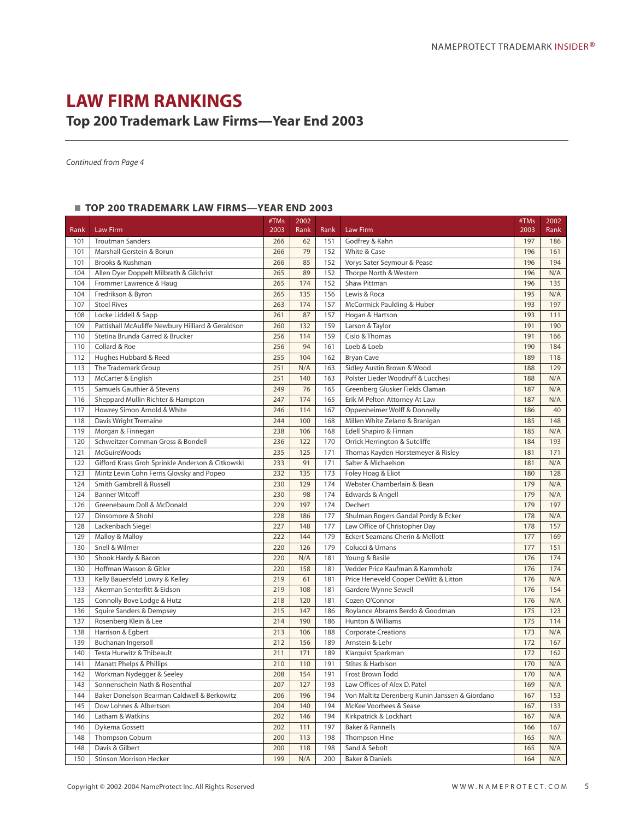### **LAW FIRM RANKINGS**

### **Top 200 Trademark Law Firms—Year End 2003**

*Continued from Page 4*

### **TOP 200 TRADEMARK LAW FIRMS—YEAR END 2003**

| Rank | Law Firm                                          | #TMs<br>2003 | 2002<br>Rank | Rank | <b>Law Firm</b>                                | #TMs<br>2003 | 2002<br>Rank |
|------|---------------------------------------------------|--------------|--------------|------|------------------------------------------------|--------------|--------------|
| 101  | <b>Troutman Sanders</b>                           | 266          | 62           | 151  | Godfrey & Kahn                                 | 197          | 186          |
|      |                                                   |              |              |      |                                                |              |              |
| 101  | Marshall Gerstein & Borun                         | 266          | 79<br>85     | 152  | White & Case                                   | 196          | 161          |
| 101  | Brooks & Kushman                                  | 266          |              | 152  | Vorys Sater Seymour & Pease                    | 196          | 194          |
| 104  | Allen Dyer Doppelt Milbrath & Gilchrist           | 265          | 89           | 152  | Thorpe North & Western                         | 196          | N/A          |
| 104  | Frommer Lawrence & Haug                           | 265          | 174          | 152  | Shaw Pittman                                   | 196          | 135          |
| 104  | Fredrikson & Byron                                | 265          | 135          | 156  | Lewis & Roca                                   | 195          | N/A          |
| 107  | <b>Stoel Rives</b>                                | 263          | 174          | 157  | McCormick Paulding & Huber                     | 193          | 197          |
| 108  | Locke Liddell & Sapp                              | 261          | 87           | 157  | Hogan & Hartson                                | 193          | 111          |
| 109  | Pattishall McAuliffe Newbury Hilliard & Geraldson | 260          | 132          | 159  | Larson & Taylor                                | 191          | 190          |
| 110  | Stetina Brunda Garred & Brucker                   | 256          | 114          | 159  | Cislo & Thomas                                 | 191          | 166          |
| 110  | Collard & Roe                                     | 256          | 94           | 161  | Loeb & Loeb                                    | 190          | 184          |
| 112  | Hughes Hubbard & Reed                             | 255          | 104          | 162  | <b>Bryan Cave</b>                              | 189          | 118          |
| 113  | The Trademark Group                               | 251          | N/A          | 163  | Sidley Austin Brown & Wood                     | 188          | 129          |
| 113  | McCarter & English                                | 251          | 140          | 163  | Polster Lieder Woodruff & Lucchesi             | 188          | N/A          |
| 115  | Samuels Gauthier & Stevens                        | 249          | 76           | 165  | Greenberg Glusker Fields Claman                | 187          | N/A          |
| 116  | Sheppard Mullin Richter & Hampton                 | 247          | 174          | 165  | Erik M Pelton Attorney At Law                  | 187          | N/A          |
| 117  | Howrey Simon Arnold & White                       | 246          | 114          | 167  | Oppenheimer Wolff & Donnelly                   | 186          | 40           |
| 118  | Davis Wright Tremaine                             | 244          | 100          | 168  | Millen White Zelano & Branigan                 | 185          | 148          |
| 119  | Morgan & Finnegan                                 | 238          | 106          | 168  | Edell Shapiro & Finnan                         | 185          | N/A          |
| 120  | Schweitzer Cornman Gross & Bondell                | 236          | 122          | 170  | Orrick Herrington & Sutcliffe                  | 184          | 193          |
| 121  | <b>McGuireWoods</b>                               | 235          | 125          | 171  | Thomas Kayden Horstemeyer & Risley             | 181          | 171          |
| 122  | Gifford Krass Groh Sprinkle Anderson & Citkowski  | 233          | 91           | 171  | Salter & Michaelson                            | 181          | N/A          |
| 123  | Mintz Levin Cohn Ferris Glovsky and Popeo         | 232          | 135          | 173  | Foley Hoag & Eliot                             | 180          | 128          |
| 124  | Smith Gambrell & Russell                          | 230          | 129          | 174  | Webster Chamberlain & Bean                     | 179          | N/A          |
| 124  | <b>Banner Witcoff</b>                             | 230          | 98           | 174  | Edwards & Angell                               | 179          | N/A          |
| 126  | Greenebaum Doll & McDonald                        | 229          | 197          | 174  | Dechert                                        | 179          | 197          |
| 127  | Dinsomore & Shohl                                 | 228          | 186          | 177  | Shulman Rogers Gandal Pordy & Ecker            | 178          | N/A          |
| 128  | Lackenbach Siegel                                 | 227          | 148          | 177  | Law Office of Christopher Day                  | 178          | 157          |
| 129  | Malloy & Malloy                                   | 222          | 144          | 179  | Eckert Seamans Cherin & Mellott                | 177          | 169          |
| 130  | Snell & Wilmer                                    | 220          | 126          | 179  | Colucci & Umans                                | 177          | 151          |
| 130  | Shook Hardy & Bacon                               | 220          | N/A          | 181  | Young & Basile                                 | 176          | 174          |
| 130  | Hoffman Wasson & Gitler                           | 220          | 158          | 181  | Vedder Price Kaufman & Kammholz                | 176          | 174          |
| 133  | Kelly Bauersfeld Lowry & Kelley                   | 219          | 61           | 181  | Price Heneveld Cooper DeWitt & Litton          | 176          | N/A          |
| 133  | Akerman Senterfitt & Eidson                       | 219          | 108          | 181  | Gardere Wynne Sewell                           | 176          | 154          |
| 135  | Connolly Bove Lodge & Hutz                        | 218          | 120          | 181  | Cozen O'Connor                                 | 176          | N/A          |
| 136  | Squire Sanders & Dempsey                          | 215          | 147          | 186  | Roylance Abrams Berdo & Goodman                | 175          | 123          |
| 137  | Rosenberg Klein & Lee                             | 214          | 190          | 186  | Hunton & Williams                              | 175          | 114          |
| 138  | Harrison & Egbert                                 | 213          | 106          | 188  | <b>Corporate Creations</b>                     | 173          | N/A          |
| 139  | <b>Buchanan Ingersoll</b>                         | 212          | 156          | 189  | Arnstein & Lehr                                | 172          | 167          |
| 140  | Testa Hurwitz & Thibeault                         | 211          | 171          | 189  | Klarguist Sparkman                             | 172          | 162          |
| 141  | <b>Manatt Phelps &amp; Phillips</b>               | 210          | 110          | 191  | Stites & Harbison                              | 170          | N/A          |
| 142  | Workman Nydegger & Seeley                         | 208          | 154          | 191  | Frost Brown Todd                               | 170          | N/A          |
| 143  | Sonnenschein Nath & Rosenthal                     | 207          | 127          | 193  | Law Offices of Alex D. Patel                   | 169          | N/A          |
| 144  | Baker Donelson Bearman Caldwell & Berkowitz       | 206          | 196          | 194  | Von Maltitz Derenberg Kunin Janssen & Giordano | 167          | 153          |
| 145  | Dow Lohnes & Albertson                            | 204          | 140          | 194  | McKee Voorhees & Sease                         | 167          | 133          |
| 146  | Latham & Watkins                                  | 202          | 146          | 194  | Kirkpatrick & Lockhart                         | 167          | N/A          |
| 146  | Dykema Gossett                                    | 202          | 111          | 197  | Baker & Rannells                               | 166          | 167          |
| 148  | Thompson Coburn                                   | 200          | 113          | 198  | Thompson Hine                                  | 165          | N/A          |
| 148  | Davis & Gilbert                                   | 200          | 118          | 198  | Sand & Sebolt                                  | 165          | N/A          |
| 150  | <b>Stinson Morrison Hecker</b>                    | 199          | N/A          | 200  | <b>Baker &amp; Daniels</b>                     | 164          | N/A          |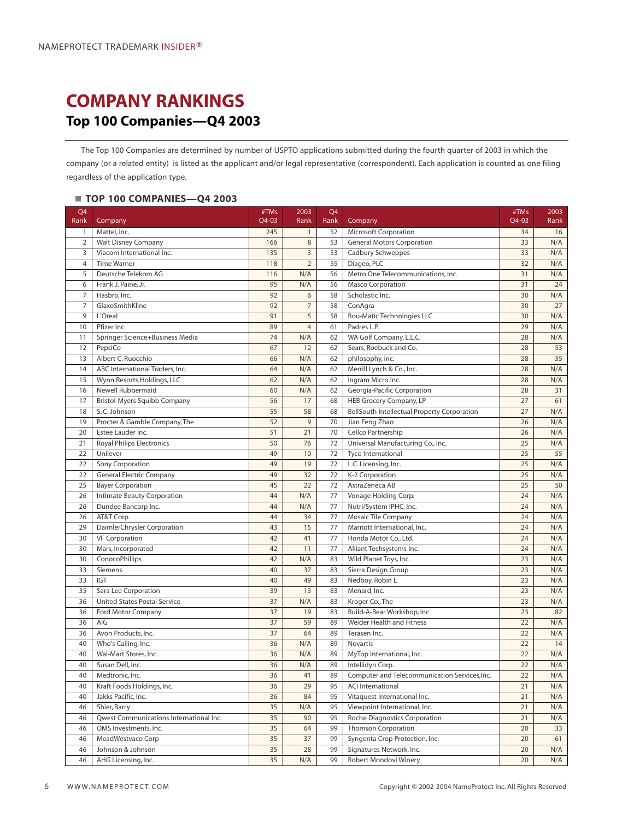## <span id="page-7-0"></span>**COMPANY RANKINGS Top 100 Companies—Q4 2003**

The Top 100 Companies are determined by number of USPTO applications submitted during the fourth quarter of 2003 in which the company (or a related entity) is listed as the applicant and/or legal representative (correspondent). Each application is counted as one filing regardless of the application type.

### **TOP 100 COMPANIES—Q4 2003**

| Q4<br>Rank     | Company                                 | #TMs<br>Q4-03 | 2003<br>Rank   | Q4<br>Rank | Company                                            | #TMs<br>Q4-03 | 2003<br>Rank |
|----------------|-----------------------------------------|---------------|----------------|------------|----------------------------------------------------|---------------|--------------|
| 1              | Mattel, Inc.                            | 245           | $\mathbf{1}$   | 52         | <b>Microsoft Corporation</b>                       | 34            | 16           |
| $\overline{2}$ | <b>Walt Disney Company</b>              | 166           | 8              | 53         | <b>General Motors Corporation</b>                  | 33            | N/A          |
| 3              | Viacom International Inc.               | 135           | $\overline{3}$ | 53         | Cadbury Schweppes                                  | 33            | N/A          |
| $\overline{4}$ | <b>Time Warner</b>                      | 118           | $\overline{2}$ | 55         | Diageo, PLC                                        | 32            | N/A          |
| 5              | Deutsche Telekom AG                     | 116           | N/A            | 56         | Metro One Telecommunications, Inc.                 | 31            | N/A          |
| 6              | Frank J. Paine, Jr.                     | 95            | N/A            | 56         | <b>Masco Corporation</b>                           | 31            | 24           |
| $\overline{7}$ | Hasbro, Inc.                            | 92            | 6              | 58         | Scholastic Inc.                                    | 30            | N/A          |
| $\overline{7}$ | GlaxoSmithKline                         | 92            | $\overline{7}$ | 58         | ConAgra                                            | 30            | 27           |
| 9              | L'Oreal                                 | 91            | 5              | 58         | <b>Bou-Matic Technologies LLC</b>                  | 30            | N/A          |
| 10             | Pfizer Inc.                             | 89            | $\overline{4}$ | 61         | Padres L.P.                                        | 29            | N/A          |
| 11             | Springer Science+Business Media         | 74            | N/A            | 62         | WA Golf Company, L.L.C.                            | 28            | N/A          |
| 12             | PepsiCo                                 | 67            | 12             | 62         | Sears, Roebuck and Co.                             | 28            | 53           |
| 13             | Albert C. Ruocchio                      | 66            | N/A            | 62         | philosophy, inc.                                   | 28            | 35           |
| 14             | ABC International Traders, Inc.         | 64            | N/A            | 62         | Merrill Lynch & Co., Inc.                          | 28            | N/A          |
| 15             | Wynn Resorts Holdings, LLC              | 62            | N/A            | 62         | Ingram Micro Inc.                                  | 28            | N/A          |
| 16             | Newell Rubbermaid                       | 60            | N/A            | 62         | Georgia-Pacific Corporation                        | 28            | 31           |
| 17             | Bristol-Myers Squibb Company            | 56            | 17             | 68         | HEB Grocery Company, LP                            | 27            | 61           |
| 18             | S.C. Johnson                            | 55            | 58             | 68         | <b>BellSouth Intellectual Property Corporation</b> | 27            | N/A          |
| 19             | Procter & Gamble Company, The           | 52            | $\overline{9}$ | 70         | Jian Feng Zhao                                     | 26            | N/A          |
| 20             | Estee Lauder Inc.                       | 51            | 21             | 70         | Cellco Partnership                                 | 26            | N/A          |
| 21             | <b>Royal Philips Electronics</b>        | 50            | 76             | 72         | Universal Manufacturing Co., Inc.                  | 25            | N/A          |
| 22             | Unilever                                | 49            | 10             | 72         | Tyco International                                 | 25            | 55           |
| 22             | Sony Corporation                        | 49            | 19             | 72         | L.C. Licensing, Inc.                               | 25            | N/A          |
| 22             | <b>General Electric Company</b>         | 49            | 32             | 72         | K-2 Corporation                                    | 25            | N/A          |
| 25             | <b>Bayer Corporation</b>                | 45            | 22             | 72         | AstraZeneca AB                                     | 25            | 50           |
| 26             | Intimate Beauty Corporation             | 44            | N/A            | 77         | Vonage Holding Corp.                               | 24            | N/A          |
| 26             | Dundee Bancorp Inc.                     | 44            | N/A            | 77         | Nutri/System IPHC, Inc.                            | 24            | N/A          |
| 26             | AT&T Corp.                              | 44            | 34             | 77         | Mosaic Tile Company                                | 24            | N/A          |
| 29             | DaimlerChrysler Corporation             | 43            | 15             | 77         | Marriott International, Inc.                       | 24            | N/A          |
| 30             | <b>VF Corporation</b>                   | 42            | 41             | 77         | Honda Motor Co., Ltd.                              | 24            | N/A          |
| 30             | Mars, Incorporated                      | 42            | 11             | 77         | Alliant Techsystems Inc.                           | 24            | N/A          |
| 30             | ConocoPhillips                          | 42            | N/A            | 83         | Wild Planet Toys, Inc.                             | 23            | N/A          |
| 33             | Siemens                                 | 40            | 37             | 83         | Sierra Design Group                                | 23            | N/A          |
| 33             | <b>IGT</b>                              | 40            | 49             | 83         | Nedboy, Robin L                                    | 23            | N/A          |
| 35             | Sara Lee Corporation                    | 39            | 13             | 83         | Menard, Inc.                                       | 23            | N/A          |
| 36             | <b>United States Postal Service</b>     | 37            | N/A            | 83         | Kroger Co., The                                    | 23            | N/A          |
| 36             | Ford Motor Company                      | 37            | 19             | 83         | Build-A-Bear Workshop, Inc.                        | 23            | 82           |
| 36             | AIG                                     | 37            | 59             | 89         | Weider Health and Fitness                          | 22            | N/A          |
| 36             | Avon Products, Inc.                     | 37            | 64             | 89         | Terasen Inc.                                       | 22            | N/A          |
| 40             | Who's Calling, Inc.                     | 36            | N/A            | 89         | Novartis                                           | 22            | 14           |
| 40             | Wal-Mart Stores, Inc.                   | 36            | N/A            | 89         | MyTop International, Inc.                          | 22            | N/A          |
| 40             | Susan Dell, Inc.                        | 36            | N/A            | 89         | Intellidyn Corp.                                   | 22            | N/A          |
| 40             | Medtronic, Inc.                         | 36            | 41             | 89         | Computer and Telecommunication Services, Inc.      | 22            | N/A          |
| 40             | Kraft Foods Holdings, Inc.              | 36            | 29             | 95         | <b>ACI International</b>                           | 21            | N/A          |
| 40             | Jakks Pacific, Inc.                     | 36            | 84             | 95         | Vitaquest International Inc.                       | 21            | N/A          |
| 46             | Shier, Barry                            | 35            | N/A            | 95         | Viewpoint International, Inc.                      | 21            | N/A          |
| 46             | Qwest Communications International Inc. | 35            | 90             | 95         | Roche Diagnostics Corporation                      | 21            | N/A          |
| 46             | OMS Investments, Inc.                   | 35            | 64             | 99         | <b>Thomson Corporation</b>                         | 20            | 33           |
| 46             | MeadWestvaco Corp                       | 35            | 37             | 99         | Syngenta Crop Protection, Inc.                     | 20            | 61           |
| 46             | Johnson & Johnson                       | 35            | 28             | 99         | Signatures Network, Inc.                           | 20            | N/A          |
| 46             | AHG Licensing, Inc.                     | 35            | N/A            | 99         | Robert Mondovi Winery                              | 20            | N/A          |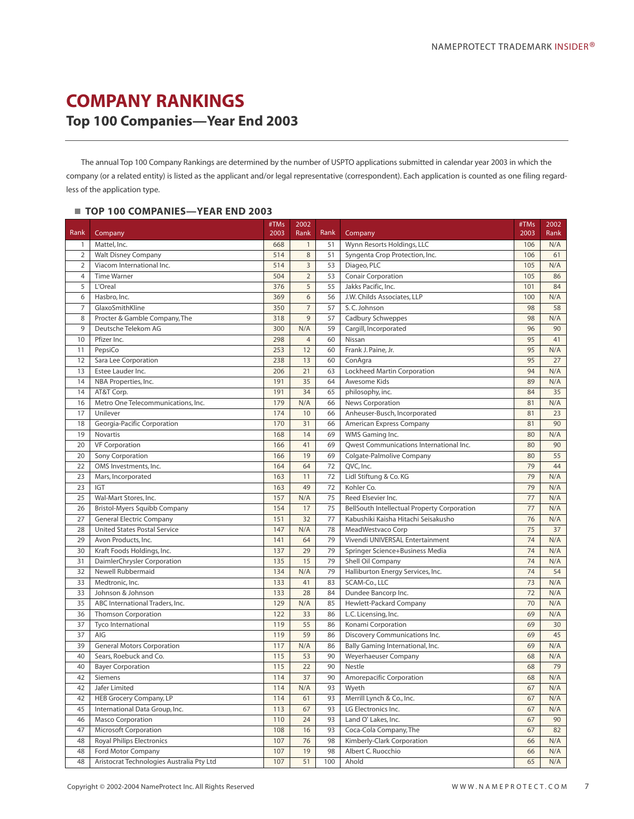### <span id="page-8-0"></span>**COMPANY RANKINGS Top 100 Companies—Year End 2003**

The annual Top 100 Company Rankings are determined by the number of USPTO applications submitted in calendar year 2003 in which the company (or a related entity) is listed as the applicant and/or legal representative (correspondent). Each application is counted as one filing regardless of the application type.

### **TOP 100 COMPANIES—YEAR END 2003**

|                |                                           | #TMs | 2002           |      |                                             | #TMs | 2002 |
|----------------|-------------------------------------------|------|----------------|------|---------------------------------------------|------|------|
| Rank           | Company                                   | 2003 | Rank           | Rank | Company                                     | 2003 | Rank |
| $\mathbf{1}$   | Mattel, Inc.                              | 668  | $\mathbf{1}$   | 51   | Wynn Resorts Holdings, LLC                  | 106  | N/A  |
| $\overline{2}$ | <b>Walt Disney Company</b>                | 514  | $\,8\,$        | 51   | Syngenta Crop Protection, Inc.              | 106  | 61   |
| $\overline{2}$ | Viacom International Inc.                 | 514  | $\overline{3}$ | 53   | Diageo, PLC                                 | 105  | N/A  |
| $\overline{4}$ | <b>Time Warner</b>                        | 504  | $\overline{2}$ | 53   | Conair Corporation                          | 105  | 86   |
| 5              | L'Oreal                                   | 376  | 5              | 55   | Jakks Pacific, Inc.                         | 101  | 84   |
| 6              | Hasbro, Inc.                              | 369  | 6              | 56   | J.W. Childs Associates, LLP                 | 100  | N/A  |
| 7              | GlaxoSmithKline                           | 350  | $\overline{7}$ | 57   | S.C. Johnson                                | 98   | 58   |
| 8              | Procter & Gamble Company, The             | 318  | $\overline{9}$ | 57   | Cadbury Schweppes                           | 98   | N/A  |
| 9              | Deutsche Telekom AG                       | 300  | N/A            | 59   | Cargill, Incorporated                       | 96   | 90   |
| 10             | Pfizer Inc.                               | 298  | $\overline{4}$ | 60   | Nissan                                      | 95   | 41   |
| 11             | PepsiCo                                   | 253  | 12             | 60   | Frank J. Paine, Jr.                         | 95   | N/A  |
| 12             | Sara Lee Corporation                      | 238  | 13             | 60   | ConAgra                                     | 95   | 27   |
| 13             | Estee Lauder Inc.                         | 206  | 21             | 63   | Lockheed Martin Corporation                 | 94   | N/A  |
| 14             | NBA Properties, Inc.                      | 191  | 35             | 64   | Awesome Kids                                | 89   | N/A  |
| 14             | AT&T Corp.                                | 191  | 34             | 65   | philosophy, inc.                            | 84   | 35   |
| 16             | Metro One Telecommunications, Inc.        | 179  | N/A            | 66   | News Corporation                            | 81   | N/A  |
| 17             | Unilever                                  | 174  | 10             | 66   | Anheuser-Busch, Incorporated                | 81   | 23   |
| 18             | Georgia-Pacific Corporation               | 170  | 31             | 66   | American Express Company                    | 81   | 90   |
| 19             | Novartis                                  | 168  | 14             | 69   | WMS Gaming Inc.                             | 80   | N/A  |
| 20             | <b>VF Corporation</b>                     | 166  | 41             | 69   | Qwest Communications International Inc.     | 80   | 90   |
| 20             | Sony Corporation                          | 166  | 19             | 69   | Colgate-Palmolive Company                   | 80   | 55   |
| 22             | OMS Investments, Inc.                     | 164  | 64             | 72   | QVC, Inc.                                   | 79   | 44   |
| 23             | Mars, Incorporated                        | 163  | 11             | 72   | Lidl Stiftung & Co. KG                      | 79   | N/A  |
| 23             | IGT                                       | 163  | 49             | 72   | Kohler Co.                                  | 79   | N/A  |
| 25             | Wal-Mart Stores, Inc.                     | 157  | N/A            | 75   | Reed Elsevier Inc.                          | 77   | N/A  |
| 26             | Bristol-Myers Squibb Company              | 154  | 17             | 75   | BellSouth Intellectual Property Corporation | 77   | N/A  |
| 27             | <b>General Electric Company</b>           | 151  | 32             | 77   | Kabushiki Kaisha Hitachi Seisakusho         | 76   | N/A  |
| 28             | <b>United States Postal Service</b>       | 147  | N/A            | 78   | MeadWestvaco Corp                           | 75   | 37   |
| 29             | Avon Products, Inc.                       | 141  | 64             | 79   | Vivendi UNIVERSAL Entertainment             | 74   | N/A  |
| 30             | Kraft Foods Holdings, Inc.                | 137  | 29             | 79   | Springer Science+Business Media             | 74   | N/A  |
| 31             | DaimlerChrysler Corporation               | 135  | 15             | 79   | Shell Oil Company                           | 74   | N/A  |
| 32             | Newell Rubbermaid                         | 134  | N/A            | 79   | Halliburton Energy Services, Inc.           | 74   | 54   |
| 33             | Medtronic, Inc.                           | 133  | 41             | 83   | SCAM-Co., LLC                               | 73   | N/A  |
| 33             | Johnson & Johnson                         | 133  | 28             | 84   | Dundee Bancorp Inc.                         | 72   | N/A  |
| 35             | ABC International Traders, Inc.           | 129  | N/A            | 85   | <b>Hewlett-Packard Company</b>              | 70   | N/A  |
| 36             | <b>Thomson Corporation</b>                | 122  | 33             | 86   | L.C. Licensing, Inc.                        | 69   | N/A  |
| 37             | <b>Tyco International</b>                 | 119  | 55             | 86   | Konami Corporation                          | 69   | 30   |
| 37             | AIG                                       | 119  | 59             | 86   | Discovery Communications Inc.               | 69   | 45   |
| 39             | <b>General Motors Corporation</b>         | 117  | N/A            | 86   | Bally Gaming International, Inc.            | 69   | N/A  |
| 40             | Sears, Roebuck and Co.                    | 115  | 53             | 90   | <b>Weyerhaeuser Company</b>                 | 68   | N/A  |
| 40             | <b>Bayer Corporation</b>                  | 115  | 22             | 90   | Nestle                                      | 68   | 79   |
| 42             | Siemens                                   | 114  | 37             | 90   | Amorepacific Corporation                    | 68   | N/A  |
| 42             | Jafer Limited                             | 114  | N/A            | 93   | Wyeth                                       | 67   | N/A  |
| 42             | HEB Grocery Company, LP                   | 114  | 61             | 93   | Merrill Lynch & Co., Inc.                   | 67   | N/A  |
| 45             | International Data Group, Inc.            | 113  | 67             | 93   | LG Electronics Inc.                         | 67   | N/A  |
| 46             | Masco Corporation                         | 110  | 24             | 93   | Land O' Lakes, Inc.                         | 67   | 90   |
| 47             | Microsoft Corporation                     | 108  | 16             | 93   | Coca-Cola Company, The                      | 67   | 82   |
| 48             | <b>Royal Philips Electronics</b>          | 107  | 76             | 98   | Kimberly-Clark Corporation                  | 66   | N/A  |
| 48             | Ford Motor Company                        | 107  | 19             | 98   | Albert C. Ruocchio                          | 66   | N/A  |
| 48             | Aristocrat Technologies Australia Pty Ltd | 107  | 51             | 100  | Ahold                                       | 65   | N/A  |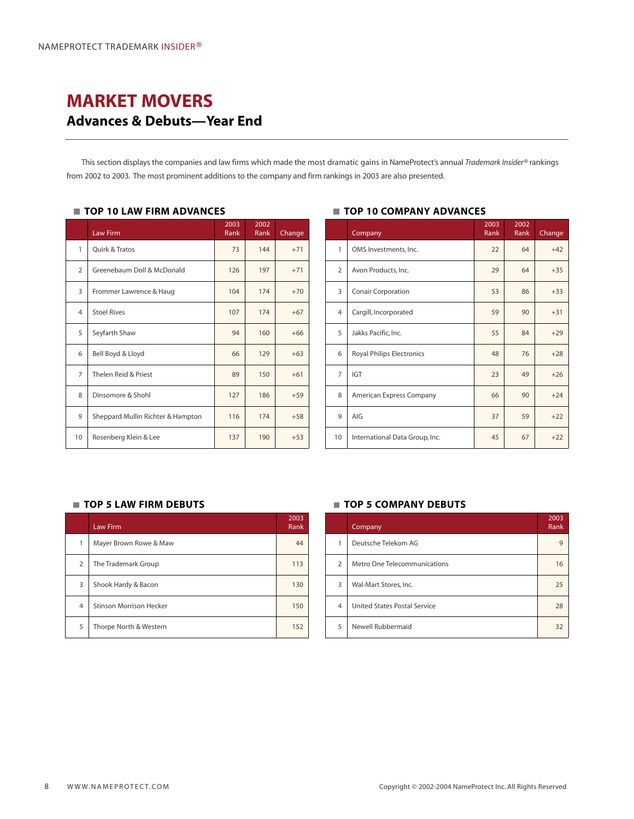### <span id="page-9-0"></span>**MARKET MOVERS Advances & Debuts—Year End**

This section displays the companies and law firms which made the most dramatic gains in NameProtect's annual *Trademark Insider®* rankings from 2002 to 2003. The most prominent additions to the company and firm rankings in 2003 are also presented.

### **TOP 10 LAW FIRM ADVANCES**

|                | Law Firm                          | 2003<br>Rank | 2002<br>Rank | Change |
|----------------|-----------------------------------|--------------|--------------|--------|
| 1              | Quirk & Tratos                    | 73           | 144          | $+71$  |
| $\overline{2}$ | Greenebaum Doll & McDonald        | 126          | 197          | $+71$  |
| 3              | Frommer Lawrence & Haug           | 104          | 174          | $+70$  |
| 4              | <b>Stoel Rives</b>                | 107          | 174          | $+67$  |
| 5              | Seyfarth Shaw                     | 94           | 160          | $+66$  |
| 6              | Bell Boyd & Lloyd                 | 66           | 129          | $+63$  |
| $\overline{7}$ | Thelen Reid & Priest              | 89           | 150          | $+61$  |
| 8              | Dinsomore & Shohl                 | 127          | 186          | $+59$  |
| 9              | Sheppard Mullin Richter & Hampton | 116          | 174          | $+58$  |
| 10             | Rosenberg Klein & Lee             | 137          | 190          | $+53$  |

### **TOP 10 COMPANY ADVANCES**

|                | Company                          | 2003<br>Rank | 2002<br>Rank | Change |
|----------------|----------------------------------|--------------|--------------|--------|
| 1              | OMS Investments, Inc.            | 22           | 64           | $+42$  |
| $\overline{2}$ | Avon Products, Inc.              | 29           | 64           | $+35$  |
| 3              | <b>Conair Corporation</b>        | 53           | 86           | $+33$  |
| $\overline{4}$ | Cargill, Incorporated            | 59           | 90           | $+31$  |
| 5              | Jakks Pacific, Inc.              | 55           | 84           | $+29$  |
| 6              | <b>Royal Philips Electronics</b> | 48           | 76           | $+28$  |
| $\overline{7}$ | <b>IGT</b>                       | 23           | 49           | $+26$  |
| 8              | American Express Company         | 66           | 90           | $+24$  |
| 9              | AIG                              | 37           | 59           | $+22$  |
| 10             | International Data Group, Inc.   | 45           | 67           | $+22$  |

### **TOP 5 LAW FIRM DEBUTS TOP 5 COMPANY DEBUTS**

|                | <b>Law Firm</b>                | 2003<br>Rank |
|----------------|--------------------------------|--------------|
| 1              | Mayer Brown Rowe & Maw         | 44           |
| $\overline{2}$ | The Trademark Group            | 113          |
| 3              | Shook Hardy & Bacon            | 130          |
| $\overline{4}$ | <b>Stinson Morrison Hecker</b> | 150          |
| 5              | Thorpe North & Western         | 152          |

|                | Company                      | 2003<br>Rank |
|----------------|------------------------------|--------------|
|                | Deutsche Telekom AG          | 9            |
| $\overline{2}$ | Metro One Telecommunications | 16           |
| 3              | Wal-Mart Stores, Inc.        | 25           |
| $\overline{4}$ | United States Postal Service | 28           |
| 5              | Newell Rubbermaid            | 32           |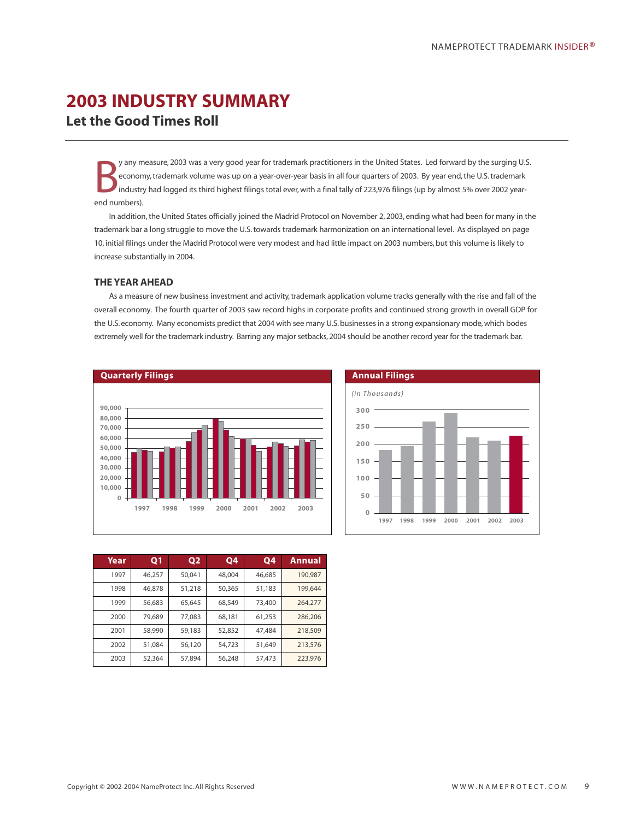# <span id="page-10-0"></span>**2003 INDUSTRY SUMMARY**

**Let the Good Times Roll**

B y any measure, 2003 was a very good year for trademark practitioners in the United States. Led forward by the surging U.S. economy, trademark volume was up on a year-over-year basis in all four quarters of 2003. By year end, the U.S. trademark industry had logged its third highest filings total ever, with a final tally of 223,976 filings (up by almost 5% over 2002 yearend numbers).

In addition, the United States officially joined the Madrid Protocol on November 2, 2003, ending what had been for many in the trademark bar a long struggle to move the U.S. towards trademark harmonization on an international level. As displayed on page 10, initial filings under the Madrid Protocol were very modest and had little impact on 2003 numbers, but this volume is likely to increase substantially in 2004.

### **THE YEAR AHEAD**

As a measure of new business investment and activity, trademark application volume tracks generally with the rise and fall of the overall economy. The fourth quarter of 2003 saw record highs in corporate profits and continued strong growth in overall GDP for the U.S. economy. Many economists predict that 2004 with see many U.S. businesses in a strong expansionary mode, which bodes extremely well for the trademark industry. Barring any major setbacks, 2004 should be another record year for the trademark bar.





| Year | Q <sub>1</sub> | <b>Q2</b> | <b>Q4</b> | <b>Q4</b> | Annual  |
|------|----------------|-----------|-----------|-----------|---------|
| 1997 | 46.257         | 50.041    | 48,004    | 46,685    | 190.987 |
| 1998 | 46.878         | 51,218    | 50,365    | 51,183    | 199.644 |
| 1999 | 56,683         | 65.645    | 68,549    | 73,400    | 264,277 |
| 2000 | 79.689         | 77,083    | 68,181    | 61,253    | 286,206 |
| 2001 | 58,990         | 59,183    | 52,852    | 47,484    | 218,509 |
| 2002 | 51.084         | 56,120    | 54.723    | 51.649    | 213,576 |
| 2003 | 52,364         | 57,894    | 56,248    | 57,473    | 223,976 |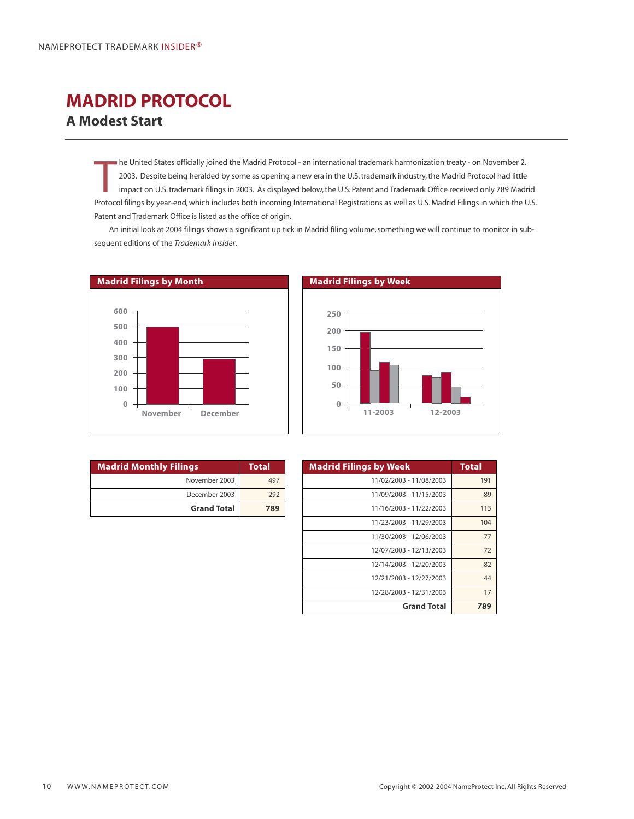### <span id="page-11-0"></span>**MADRID PROTOCOL A Modest Start**

The United States officially joined the Madrid Protocol - an international trademark harmonization treaty - on November 2,<br>2003. Despite being heralded by some as opening a new era in the U.S. trademark industry, the Madri he United States officially joined the Madrid Protocol - an international trademark harmonization treaty - on November 2, 2003. Despite being heralded by some as opening a new era in the U.S. trademark industry, the Madrid Protocol had little impact on U.S. trademark filings in 2003. As displayed below, the U.S. Patent and Trademark Office received only 789 Madrid Patent and Trademark Office is listed as the office of origin.

An initial look at 2004 filings shows a significant up tick in Madrid filing volume, something we will continue to monitor in subsequent editions of the *Trademark Insider*.



| <b>Madrid Monthly Filings</b> | <b>Total</b> |
|-------------------------------|--------------|
| November 2003                 | 497          |
| December 2003                 | 292          |
| <b>Grand Total</b>            | 789          |

| Madrid Filings by Week |         |         |  |  |  |  |  |
|------------------------|---------|---------|--|--|--|--|--|
|                        |         |         |  |  |  |  |  |
| 250                    |         |         |  |  |  |  |  |
| 200                    |         |         |  |  |  |  |  |
| 150                    |         |         |  |  |  |  |  |
| 100                    |         |         |  |  |  |  |  |
| 50                     |         |         |  |  |  |  |  |
| 0                      | 11-2003 | 12-2003 |  |  |  |  |  |
|                        |         |         |  |  |  |  |  |

| <b>Madrid Filings by Week</b> | <b>Total</b> |
|-------------------------------|--------------|
| 11/02/2003 - 11/08/2003       | 191          |
| 11/09/2003 - 11/15/2003       | 89           |
| 11/16/2003 - 11/22/2003       | 113          |
| 11/23/2003 - 11/29/2003       | 104          |
| 11/30/2003 - 12/06/2003       | 77           |
| 12/07/2003 - 12/13/2003       | 72           |
| 12/14/2003 - 12/20/2003       | 82           |
| 12/21/2003 - 12/27/2003       | 44           |
| 12/28/2003 - 12/31/2003       | 17           |
| <b>Grand Total</b>            | 789          |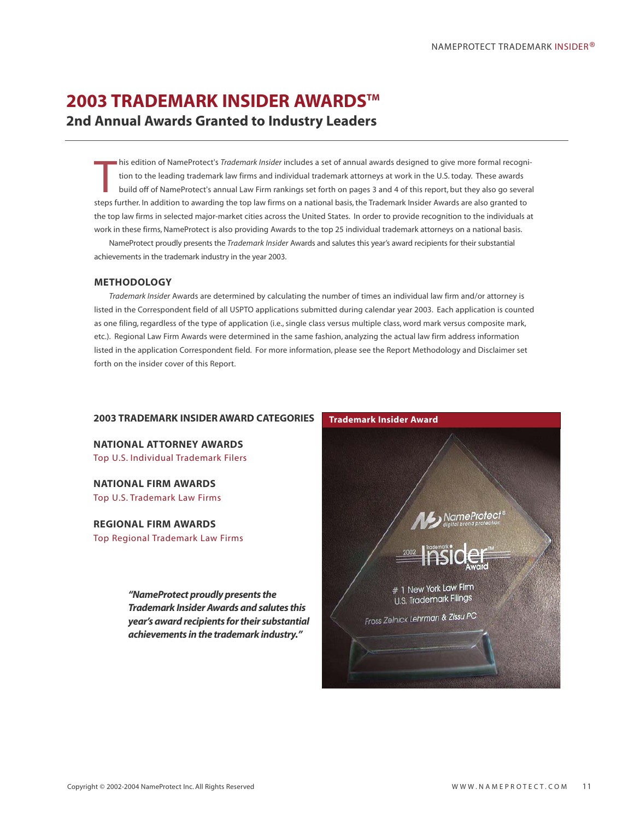### <span id="page-12-0"></span>**2003 TRADEMARK INSIDER AWARDS™ 2nd Annual Awards Granted to Industry Leaders**

T his edition of NameProtect's *Trademark Insider* includes a set of annual awards designed to give more formal recognition to the leading trademark law firms and individual trademark attorneys at work in the U.S. today. These awards build off of NameProtect's annual Law Firm rankings set forth on pages 3 and 4 of this report, but they also go several steps further. In addition to awarding the top law firms on a national basis, the Trademark Insider Awards are also granted to the top law firms in selected major-market cities across the United States. In order to provide recognition to the individuals at work in these firms, NameProtect is also providing Awards to the top 25 individual trademark attorneys on a national basis.

NameProtect proudly presents the *Trademark Insider* Awards and salutes this year's award recipients for their substantial achievements in the trademark industry in the year 2003.

### **METHODOLOGY**

*Trademark Insider* Awards are determined by calculating the number of times an individual law firm and/or attorney is listed in the Correspondent field of all USPTO applications submitted during calendar year 2003. Each application is counted as one filing, regardless of the type of application (i.e., single class versus multiple class, word mark versus composite mark, etc.). Regional Law Firm Awards were determined in the same fashion, analyzing the actual law firm address information listed in the application Correspondent field. For more information, please see the Report Methodology and Disclaimer set forth on the insider cover of this Report.

### **2003 TRADEMARK INSIDER AWARD CATEGORIES**

**NATIONAL ATTORNEY AWARDS** Top U.S. Individual Trademark Filers

**NATIONAL FIRM AWARDS** Top U.S. Trademark Law Firms

### **REGIONAL FIRM AWARDS**

Top Regional Trademark Law Firms

*"NameProtect proudly presents the Trademark Insider Awards and salutes this year's award recipients for their substantial achievements in the trademark industry."*

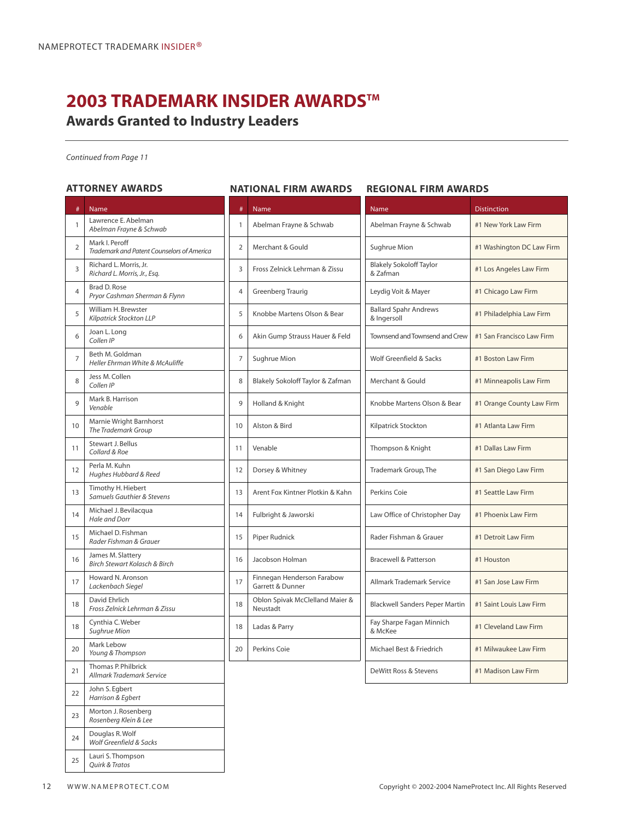## **2003 TRADEMARK INSIDER AWARDS™**

**Awards Granted to Industry Leaders**

*Continued from Page 11*

### **ATTORNEY AWARDS**

### # Name  $\frac{1}{1}$  Lawrence E. Abelman *Abelman Frayne & Schwab* <sup>2</sup> Mark I. Peroff *Trademark and Patent Counselors of America*  $\overline{3}$  Richard L. Morris, Jr. *Richard L. Morris, Jr., Esq.*  $4 \overline{\phantom{a}}$  Brad D. Rose *Pryor Cashman Sherman & Flynn* 5 William H. Brewster *Kilpatrick Stockton LLP*  $6 \int$  Joan L. Long *Collen IP*  $7$  Beth M. Goldman *Heller Ehrman White & McAuliffe* 8 Jess M. Collen *Collen IP* 9 Mark B. Harrison *Venable* 10 Marnie Wright Barnhorst *The Trademark Group* 11 Stewart J. Bellus *Collard & Roe* <sup>12</sup> Perla M. Kuhn *Hughes Hubbard & Reed* 13 Timothy H. Hiebert *Samuels Gauthier & Stevens* 14 Michael J. Bevilacqua *Hale and Dorr* 15 Michael D. Fishman *Rader Fishman & Grauer* 16 James M. Slattery *Birch Stewart Kolasch & Birch* 17 Howard N. Aronson *Lackenbach Siegel*  $18$  David Ehrlich *Fross Zelnick Lehrman & Zissu* 18 Cynthia C. Weber *Sughrue Mion* 20 Mark Lebow *Young & Thompson* 21 Thomas P. Philbrick *Allmark Trademark Service*  $22$  John S. Egbert *Harrison & Egbert* 23 Morton J. Rosenberg *Rosenberg Klein & Lee* 24 Douglas R. Wolf *Wolf Greenfield & Sacks*  $25$  Lauri S. Thompson *Quirk & Tratos*

## **NATIONAL FIRM AWARDS REGIONAL FIRM AWARDS** # Name 1 Abelman Frayne & Schwab 2 | Merchant & Gould 3 Fross Zelnick Lehrman & Zissu 4 Greenberg Traurig 5 | Knobbe Martens Olson & Bear 6 | Akin Gump Strauss Hauer & Fe 7 Sughrue Mion 8 | Blakely Sokoloff Taylor & Zafma 9 | Holland & Knight 10 | Alston & Bird 11 Venable 12 Dorsey & Whitney 13 Arent Fox Kintner Plotkin & Kal 14 | Fulbright & Jaworski 15 Piper Rudnick 16 Jacobson Holman 17 Finnegan Henderson Farabow Garrett & Dunner 18 Oblon Spivak McClelland Maie Neustadt 18 | Ladas & Parry 20 Perkins Coie

|      | Name                                        | <b>Distinction</b>        |
|------|---------------------------------------------|---------------------------|
|      | Abelman Frayne & Schwab                     | #1 New York Law Firm      |
|      | Sughrue Mion                                | #1 Washington DC Law Firm |
|      | <b>Blakely Sokoloff Taylor</b><br>& Zafman  | #1 Los Angeles Law Firm   |
|      | Leydig Voit & Mayer                         | #1 Chicago Law Firm       |
|      | <b>Ballard Spahr Andrews</b><br>& Ingersoll | #1 Philadelphia Law Firm  |
| ١d   | Townsend and Townsend and Crew              | #1 San Francisco Law Firm |
|      | Wolf Greenfield & Sacks                     | #1 Boston Law Firm        |
| an   | Merchant & Gould                            | #1 Minneapolis Law Firm   |
|      | Knobbe Martens Olson & Bear                 | #1 Orange County Law Firm |
|      | Kilpatrick Stockton                         | #1 Atlanta Law Firm       |
|      | Thompson & Knight                           | #1 Dallas Law Firm        |
|      | Trademark Group, The                        | #1 San Diego Law Firm     |
| hn   | Perkins Coie                                | #1 Seattle Law Firm       |
|      | Law Office of Christopher Day               | #1 Phoenix Law Firm       |
|      | Rader Fishman & Grauer                      | #1 Detroit Law Firm       |
|      | <b>Bracewell &amp; Patterson</b>            | #1 Houston                |
|      | Allmark Trademark Service                   | #1 San Jose Law Firm      |
| er 8 | <b>Blackwell Sanders Peper Martin</b>       | #1 Saint Louis Law Firm   |
|      | Fay Sharpe Fagan Minnich<br>& McKee         | #1 Cleveland Law Firm     |
|      | Michael Best & Friedrich                    | #1 Milwaukee Law Firm     |
|      | DeWitt Ross & Stevens                       | #1 Madison Law Firm       |